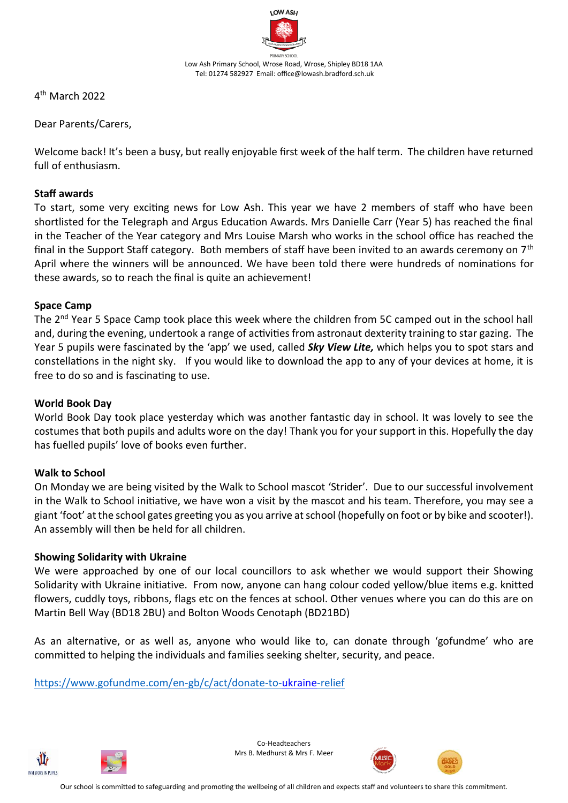

4 th March 2022

Dear Parents/Carers,

Welcome back! It's been a busy, but really enjoyable first week of the half term. The children have returned full of enthusiasm.

### **Staff awards**

To start, some very exciting news for Low Ash. This year we have 2 members of staff who have been shortlisted for the Telegraph and Argus Education Awards. Mrs Danielle Carr (Year 5) has reached the final in the Teacher of the Year category and Mrs Louise Marsh who works in the school office has reached the final in the Support Staff category. Both members of staff have been invited to an awards ceremony on 7th April where the winners will be announced. We have been told there were hundreds of nominations for these awards, so to reach the final is quite an achievement!

### **Space Camp**

The 2<sup>nd</sup> Year 5 Space Camp took place this week where the children from 5C camped out in the school hall and, during the evening, undertook a range of activities from astronaut dexterity training to star gazing. The Year 5 pupils were fascinated by the 'app' we used, called *Sky View Lite,* which helps you to spot stars and constellations in the night sky. If you would like to download the app to any of your devices at home, it is free to do so and is fascinating to use.

### **World Book Day**

World Book Day took place yesterday which was another fantastic day in school. It was lovely to see the costumes that both pupils and adults wore on the day! Thank you for your support in this. Hopefully the day has fuelled pupils' love of books even further.

# **Walk to School**

On Monday we are being visited by the Walk to School mascot 'Strider'. Due to our successful involvement in the Walk to School initiative, we have won a visit by the mascot and his team. Therefore, you may see a giant 'foot' at the school gates greeting you as you arrive at school (hopefully on foot or by bike and scooter!). An assembly will then be held for all children.

# **Showing Solidarity with Ukraine**

We were approached by one of our local councillors to ask whether we would support their Showing Solidarity with Ukraine initiative. From now, anyone can hang colour coded yellow/blue items e.g. knitted flowers, cuddly toys, ribbons, flags etc on the fences at school. Other venues where you can do this are on Martin Bell Way (BD18 2BU) and Bolton Woods Cenotaph (BD21BD)

As an alternative, or as well as, anyone who would like to, can donate through 'gofundme' who are committed to helping the individuals and families seeking shelter, security, and peace.

<https://www.gofundme.com/en-gb/c/act/donate-to-ukraine-relief>





Co-Headteachers Mrs B. Medhurst & Mrs F. Meer